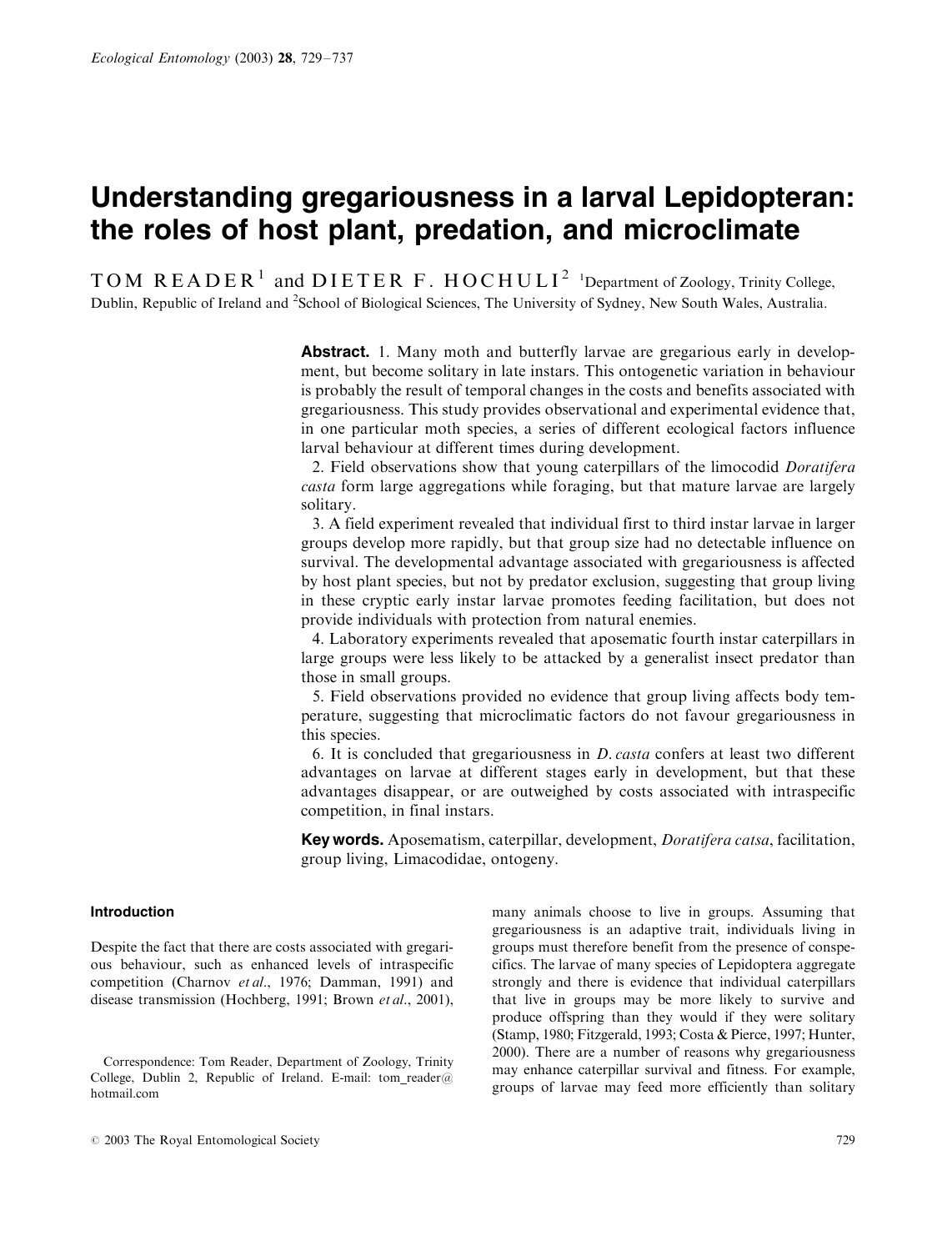# Understanding gregariousness in a larval Lepidopteran: the roles of host plant, predation, and microclimate

 $\text{TOM}~\text{READER}^1 \text{ and } \text{DIETER}~\text{F}$ .  $\text{HOCHULI}^2$  <sup>1</sup>Department of Zoology, Trinity College, Dublin, Republic of Ireland and <sup>2</sup>School of Biological Sciences, The University of Sydney, New South Wales, Australia.

> **Abstract.** 1. Many moth and butterfly larvae are gregarious early in development, but become solitary in late instars. This ontogenetic variation in behaviour is probably the result of temporal changes in the costs and benefits associated with gregariousness. This study provides observational and experimental evidence that, in one particular moth species, a series of different ecological factors influence larval behaviour at different times during development.

> 2. Field observations show that young caterpillars of the limocodid Doratifera casta form large aggregations while foraging, but that mature larvae are largely solitary.

> 3. A field experiment revealed that individual first to third instar larvae in larger groups develop more rapidly, but that group size had no detectable influence on survival. The developmental advantage associated with gregariousness is affected by host plant species, but not by predator exclusion, suggesting that group living in these cryptic early instar larvae promotes feeding facilitation, but does not provide individuals with protection from natural enemies.

> 4. Laboratory experiments revealed that aposematic fourth instar caterpillars in large groups were less likely to be attacked by a generalist insect predator than those in small groups.

> 5. Field observations provided no evidence that group living affects body temperature, suggesting that microclimatic factors do not favour gregariousness in this species.

> 6. It is concluded that gregariousness in D. casta confers at least two different advantages on larvae at different stages early in development, but that these advantages disappear, or are outweighed by costs associated with intraspecific competition, in final instars.

> Key words. Aposematism, caterpillar, development, *Doratifera catsa*, facilitation, group living, Limacodidae, ontogeny.

# Introduction

Despite the fact that there are costs associated with gregarious behaviour, such as enhanced levels of intraspecific competition (Charnov et al., 1976; Damman, 1991) and disease transmission (Hochberg, 1991; Brown et al., 2001), many animals choose to live in groups. Assuming that gregariousness is an adaptive trait, individuals living in groups must therefore benefit from the presence of conspecifics. The larvae of many species of Lepidoptera aggregate strongly and there is evidence that individual caterpillars that live in groups may be more likely to survive and produce offspring than they would if they were solitary (Stamp, 1980; Fitzgerald, 1993; Costa & Pierce, 1997; Hunter, 2000). There are a number of reasons why gregariousness may enhance caterpillar survival and fitness. For example, groups of larvae may feed more efficiently than solitary

Correspondence: Tom Reader, Department of Zoology, Trinity College, Dublin 2, Republic of Ireland. E-mail: tom reader@ hotmail.com

 $\degree$  2003 The Royal Entomological Society 729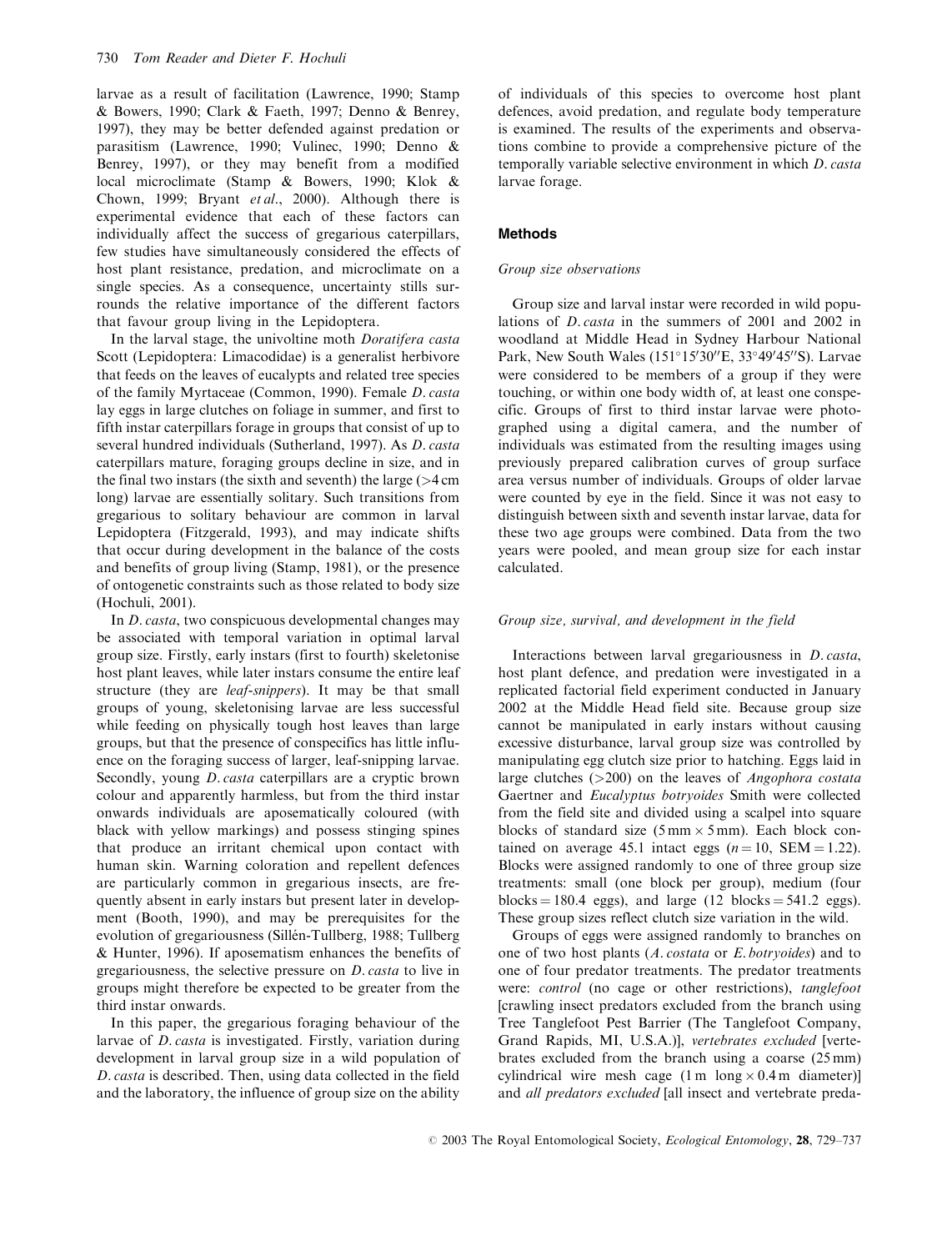larvae as a result of facilitation (Lawrence, 1990; Stamp & Bowers, 1990; Clark & Faeth, 1997; Denno & Benrey, 1997), they may be better defended against predation or parasitism (Lawrence, 1990; Vulinec, 1990; Denno & Benrey, 1997), or they may benefit from a modified local microclimate (Stamp & Bowers, 1990; Klok & Chown, 1999; Bryant et al., 2000). Although there is experimental evidence that each of these factors can individually affect the success of gregarious caterpillars, few studies have simultaneously considered the effects of host plant resistance, predation, and microclimate on a single species. As a consequence, uncertainty stills surrounds the relative importance of the different factors that favour group living in the Lepidoptera.

In the larval stage, the univoltine moth *Doratifera casta* Scott (Lepidoptera: Limacodidae) is a generalist herbivore that feeds on the leaves of eucalypts and related tree species of the family Myrtaceae (Common, 1990). Female D. casta lay eggs in large clutches on foliage in summer, and first to fifth instar caterpillars forage in groups that consist of up to several hundred individuals (Sutherland, 1997). As D. casta caterpillars mature, foraging groups decline in size, and in the final two instars (the sixth and seventh) the large  $(>4 \text{ cm})$ long) larvae are essentially solitary. Such transitions from gregarious to solitary behaviour are common in larval Lepidoptera (Fitzgerald, 1993), and may indicate shifts that occur during development in the balance of the costs and benefits of group living (Stamp, 1981), or the presence of ontogenetic constraints such as those related to body size (Hochuli, 2001).

In D. casta, two conspicuous developmental changes may be associated with temporal variation in optimal larval group size. Firstly, early instars (first to fourth) skeletonise host plant leaves, while later instars consume the entire leaf structure (they are leaf-snippers). It may be that small groups of young, skeletonising larvae are less successful while feeding on physically tough host leaves than large groups, but that the presence of conspecifics has little influence on the foraging success of larger, leaf-snipping larvae. Secondly, young *D. casta* caterpillars are a cryptic brown colour and apparently harmless, but from the third instar onwards individuals are aposematically coloured (with black with yellow markings) and possess stinging spines that produce an irritant chemical upon contact with human skin. Warning coloration and repellent defences are particularly common in gregarious insects, are frequently absent in early instars but present later in development (Booth, 1990), and may be prerequisites for the evolution of gregariousness (Sillén-Tullberg, 1988; Tullberg & Hunter, 1996). If aposematism enhances the benefits of gregariousness, the selective pressure on D. casta to live in groups might therefore be expected to be greater from the third instar onwards.

In this paper, the gregarious foraging behaviour of the larvae of D. casta is investigated. Firstly, variation during development in larval group size in a wild population of D. casta is described. Then, using data collected in the field and the laboratory, the influence of group size on the ability

of individuals of this species to overcome host plant defences, avoid predation, and regulate body temperature is examined. The results of the experiments and observations combine to provide a comprehensive picture of the temporally variable selective environment in which D. casta larvae forage.

## Methods

# Group size observations

Group size and larval instar were recorded in wild populations of D. casta in the summers of 2001 and 2002 in woodland at Middle Head in Sydney Harbour National Park, New South Wales (151°15'30"E, 33°49'45"S). Larvae were considered to be members of a group if they were touching, or within one body width of, at least one conspecific. Groups of first to third instar larvae were photographed using a digital camera, and the number of individuals was estimated from the resulting images using previously prepared calibration curves of group surface area versus number of individuals. Groups of older larvae were counted by eye in the field. Since it was not easy to distinguish between sixth and seventh instar larvae, data for these two age groups were combined. Data from the two years were pooled, and mean group size for each instar calculated.

#### Group size, survival, and development in the field

Interactions between larval gregariousness in D. casta, host plant defence, and predation were investigated in a replicated factorial field experiment conducted in January 2002 at the Middle Head field site. Because group size cannot be manipulated in early instars without causing excessive disturbance, larval group size was controlled by manipulating egg clutch size prior to hatching. Eggs laid in large clutches  $(>=200)$  on the leaves of *Angophora costata* Gaertner and Eucalyptus botryoides Smith were collected from the field site and divided using a scalpel into square blocks of standard size  $(5 \text{ mm} \times 5 \text{ mm})$ . Each block contained on average 45.1 intact eggs  $(n = 10, \text{SEM} = 1.22)$ . Blocks were assigned randomly to one of three group size treatments: small (one block per group), medium (four blocks  $= 180.4$  eggs), and large (12 blocks  $= 541.2$  eggs). These group sizes reflect clutch size variation in the wild.

Groups of eggs were assigned randomly to branches on one of two host plants (A. costata or E. botryoides) and to one of four predator treatments. The predator treatments were: control (no cage or other restrictions), tanglefoot [crawling insect predators excluded from the branch using Tree Tanglefoot Pest Barrier (The Tanglefoot Company, Grand Rapids, MI, U.S.A.)], vertebrates excluded [vertebrates excluded from the branch using a coarse (25 mm) cylindrical wire mesh cage  $(1 \text{ m } \log \times 0.4 \text{ m } \text{ diameter})$ and all predators excluded [all insect and vertebrate preda-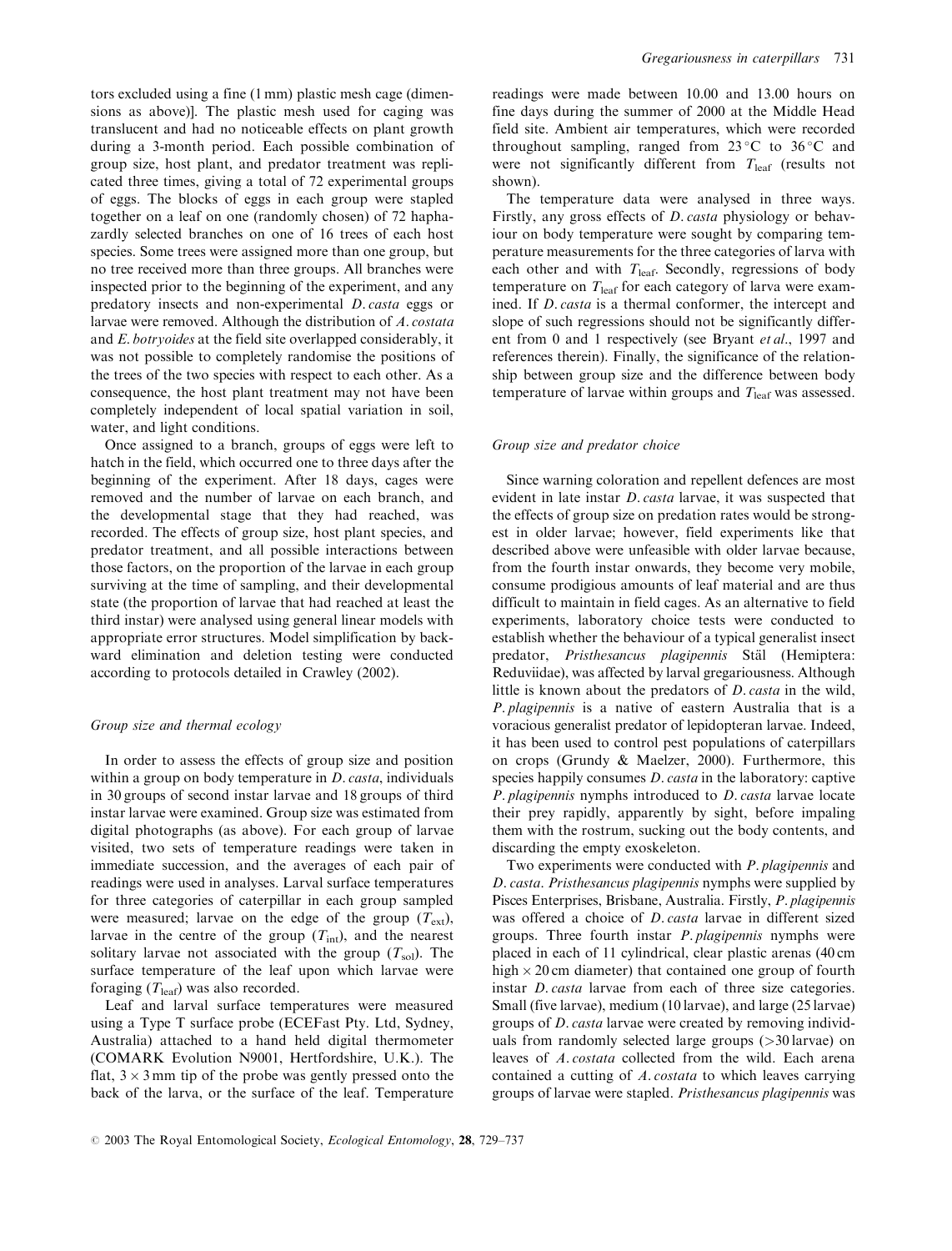tors excluded using a fine (1 mm) plastic mesh cage (dimensions as above)]. The plastic mesh used for caging was translucent and had no noticeable effects on plant growth during a 3-month period. Each possible combination of group size, host plant, and predator treatment was replicated three times, giving a total of 72 experimental groups of eggs. The blocks of eggs in each group were stapled together on a leaf on one (randomly chosen) of 72 haphazardly selected branches on one of 16 trees of each host species. Some trees were assigned more than one group, but no tree received more than three groups. All branches were inspected prior to the beginning of the experiment, and any predatory insects and non-experimental D. casta eggs or larvae were removed. Although the distribution of A. costata and E. botryoides at the field site overlapped considerably, it was not possible to completely randomise the positions of the trees of the two species with respect to each other. As a consequence, the host plant treatment may not have been completely independent of local spatial variation in soil, water, and light conditions.

Once assigned to a branch, groups of eggs were left to hatch in the field, which occurred one to three days after the beginning of the experiment. After 18 days, cages were removed and the number of larvae on each branch, and the developmental stage that they had reached, was recorded. The effects of group size, host plant species, and predator treatment, and all possible interactions between those factors, on the proportion of the larvae in each group surviving at the time of sampling, and their developmental state (the proportion of larvae that had reached at least the third instar) were analysed using general linear models with appropriate error structures. Model simplification by backward elimination and deletion testing were conducted according to protocols detailed in Crawley (2002).

# Group size and thermal ecology

In order to assess the effects of group size and position within a group on body temperature in *D. casta*, individuals in 30 groups of second instar larvae and 18 groups of third instar larvae were examined. Group size was estimated from digital photographs (as above). For each group of larvae visited, two sets of temperature readings were taken in immediate succession, and the averages of each pair of readings were used in analyses. Larval surface temperatures for three categories of caterpillar in each group sampled were measured; larvae on the edge of the group  $(T_{ext})$ , larvae in the centre of the group  $(T_{int})$ , and the nearest solitary larvae not associated with the group  $(T_{sol})$ . The surface temperature of the leaf upon which larvae were foraging  $(T_{\text{leaf}})$  was also recorded.

Leaf and larval surface temperatures were measured using a Type T surface probe (ECEFast Pty. Ltd, Sydney, Australia) attached to a hand held digital thermometer (COMARK Evolution N9001, Hertfordshire, U.K.). The flat,  $3 \times 3$  mm tip of the probe was gently pressed onto the back of the larva, or the surface of the leaf. Temperature

readings were made between 10.00 and 13.00 hours on fine days during the summer of 2000 at the Middle Head field site. Ambient air temperatures, which were recorded throughout sampling, ranged from  $23^{\circ}$ C to  $36^{\circ}$ C and were not significantly different from  $T_{\text{leaf}}$  (results not shown).

The temperature data were analysed in three ways. Firstly, any gross effects of D. casta physiology or behaviour on body temperature were sought by comparing temperature measurements for the three categories of larva with each other and with  $T_{\text{leaf}}$ . Secondly, regressions of body temperature on  $T_{\text{leaf}}$  for each category of larva were examined. If D. casta is a thermal conformer, the intercept and slope of such regressions should not be significantly different from 0 and 1 respectively (see Bryant et al., 1997 and references therein). Finally, the significance of the relationship between group size and the difference between body temperature of larvae within groups and  $T_{\text{leaf}}$  was assessed.

#### Group size and predator choice

Since warning coloration and repellent defences are most evident in late instar *D. casta* larvae, it was suspected that the effects of group size on predation rates would be strongest in older larvae; however, field experiments like that described above were unfeasible with older larvae because, from the fourth instar onwards, they become very mobile, consume prodigious amounts of leaf material and are thus difficult to maintain in field cages. As an alternative to field experiments, laboratory choice tests were conducted to establish whether the behaviour of a typical generalist insect predator, Pristhesancus plagipennis Stäl (Hemiptera: Reduviidae), was affected by larval gregariousness. Although little is known about the predators of D. casta in the wild, P. plagipennis is a native of eastern Australia that is a voracious generalist predator of lepidopteran larvae. Indeed, it has been used to control pest populations of caterpillars on crops (Grundy & Maelzer, 2000). Furthermore, this species happily consumes *D. casta* in the laboratory: captive P. plagipennis nymphs introduced to D. casta larvae locate their prey rapidly, apparently by sight, before impaling them with the rostrum, sucking out the body contents, and discarding the empty exoskeleton.

Two experiments were conducted with P. plagipennis and D. casta. Pristhesancus plagipennis nymphs were supplied by Pisces Enterprises, Brisbane, Australia. Firstly, P. plagipennis was offered a choice of D. casta larvae in different sized groups. Three fourth instar P. plagipennis nymphs were placed in each of 11 cylindrical, clear plastic arenas (40 cm high  $\times$  20 cm diameter) that contained one group of fourth instar D. casta larvae from each of three size categories. Small (five larvae), medium (10 larvae), and large (25 larvae) groups of D. casta larvae were created by removing individuals from randomly selected large groups (>30 larvae) on leaves of A. costata collected from the wild. Each arena contained a cutting of A. costata to which leaves carrying groups of larvae were stapled. Pristhesancus plagipennis was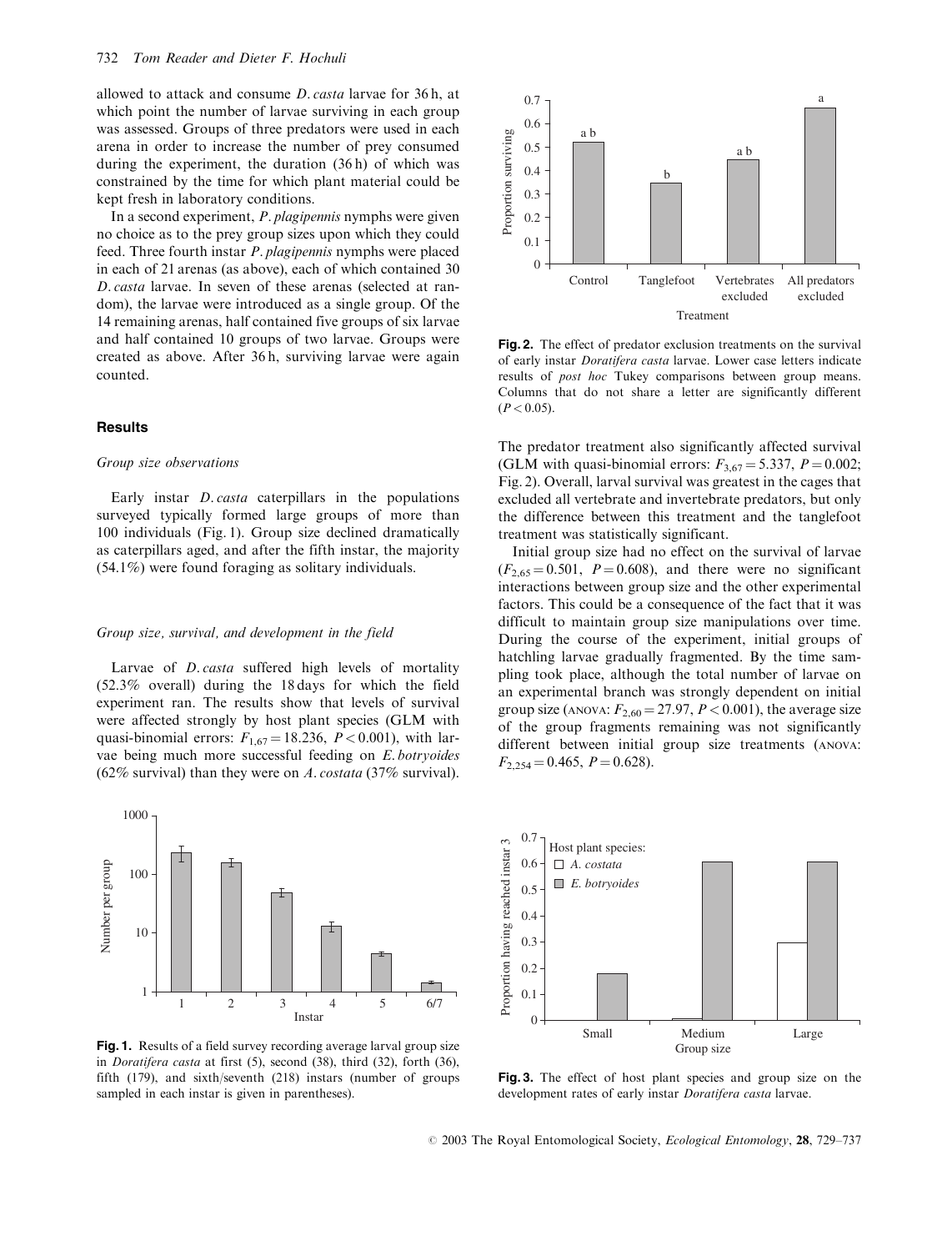allowed to attack and consume D. casta larvae for 36 h, at which point the number of larvae surviving in each group was assessed. Groups of three predators were used in each arena in order to increase the number of prey consumed during the experiment, the duration (36 h) of which was constrained by the time for which plant material could be kept fresh in laboratory conditions.

In a second experiment, P. plagipennis nymphs were given no choice as to the prey group sizes upon which they could feed. Three fourth instar P. plagipennis nymphs were placed in each of 21 arenas (as above), each of which contained 30 D. casta larvae. In seven of these arenas (selected at random), the larvae were introduced as a single group. Of the 14 remaining arenas, half contained five groups of six larvae and half contained 10 groups of two larvae. Groups were created as above. After 36 h, surviving larvae were again counted.

# Results

#### Group size observations

Early instar D. casta caterpillars in the populations surveyed typically formed large groups of more than 100 individuals (Fig. 1). Group size declined dramatically as caterpillars aged, and after the fifth instar, the majority (54.1%) were found foraging as solitary individuals.

## Group size, survival, and development in the field

Larvae of *D. casta* suffered high levels of mortality (52.3% overall) during the 18 days for which the field experiment ran. The results show that levels of survival were affected strongly by host plant species (GLM with quasi-binomial errors:  $F_{1,67} = 18.236$ ,  $P < 0.001$ ), with larvae being much more successful feeding on E. botryoides (62% survival) than they were on A. costata (37% survival).



Fig. 1. Results of a field survey recording average larval group size in Doratifera casta at first (5), second (38), third (32), forth (36), fifth (179), and sixth/seventh (218) instars (number of groups sampled in each instar is given in parentheses).



Fig. 2. The effect of predator exclusion treatments on the survival of early instar Doratifera casta larvae. Lower case letters indicate results of post hoc Tukey comparisons between group means. Columns that do not share a letter are significantly different  $(P < 0.05)$ .

The predator treatment also significantly affected survival (GLM with quasi-binomial errors:  $F_{3.67} = 5.337$ ,  $P = 0.002$ ; Fig. 2). Overall, larval survival was greatest in the cages that excluded all vertebrate and invertebrate predators, but only the difference between this treatment and the tanglefoot treatment was statistically significant.

Initial group size had no effect on the survival of larvae  $(F_{2,65} = 0.501, P = 0.608)$ , and there were no significant interactions between group size and the other experimental factors. This could be a consequence of the fact that it was difficult to maintain group size manipulations over time. During the course of the experiment, initial groups of hatchling larvae gradually fragmented. By the time sampling took place, although the total number of larvae on an experimental branch was strongly dependent on initial group size (ANOVA:  $F_{2,60} = 27.97$ ,  $P < 0.001$ ), the average size of the group fragments remaining was not significantly different between initial group size treatments (ANOVA:  $F_{2,254} = 0.465, P = 0.628.$ 



Fig. 3. The effect of host plant species and group size on the development rates of early instar Doratifera casta larvae.

 $© 2003$  The Royal Entomological Society, *Ecological Entomology*, 28, 729–737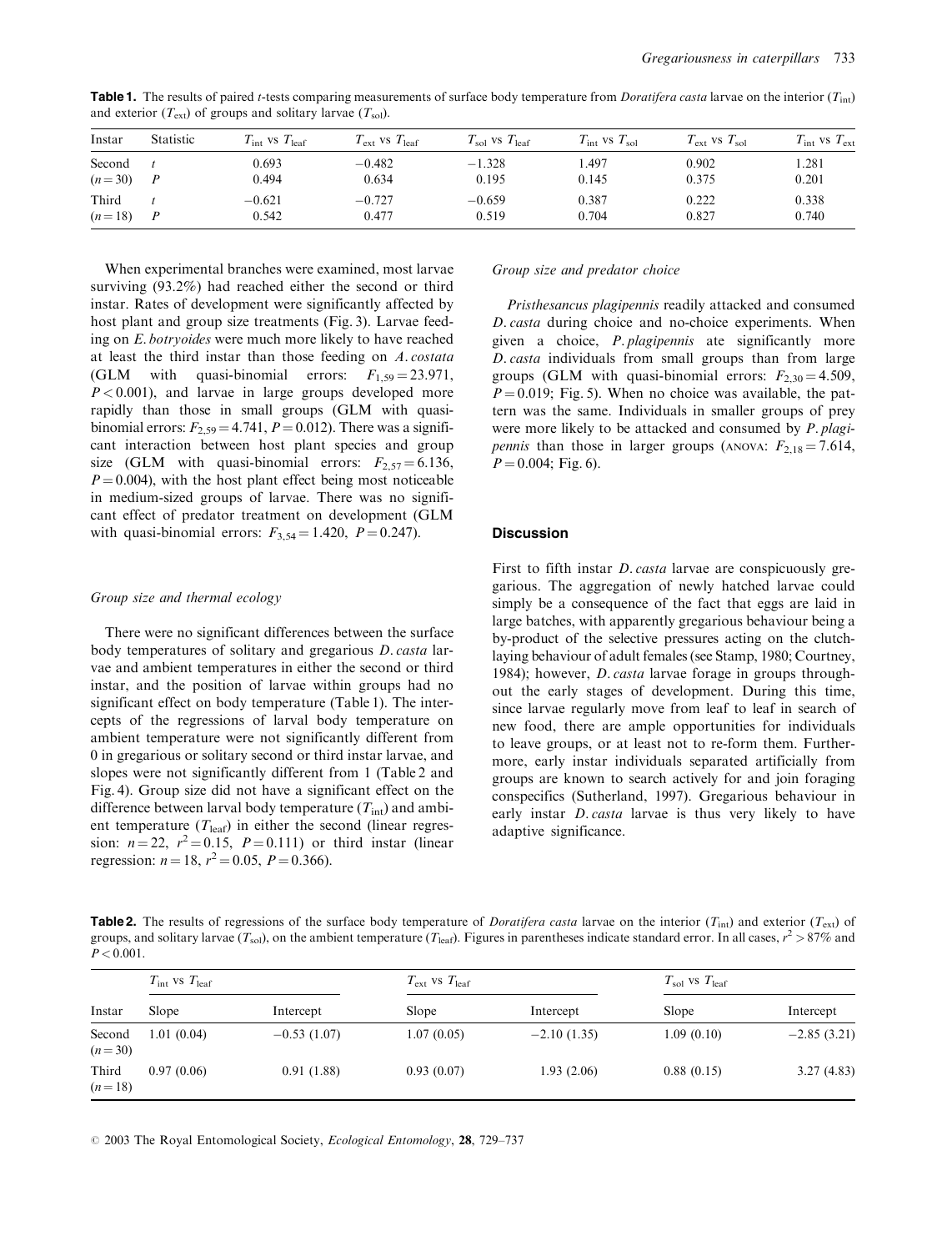| Instar   | <b>Statistic</b> | $T_{\text{int}}$ vs $T_{\text{leaf}}$ | $T_{\text{ext}}$ vs $T_{\text{leaf}}$ | $T_{\rm sol}$ vs $T_{\rm leaf}$ | $T_{\text{int}}$ vs $T_{\text{sol}}$ | $T_{\rm ext}$ vs $T_{\rm sol}$ | $T_{\text{int}}$ vs $T_{\text{ext}}$ |
|----------|------------------|---------------------------------------|---------------------------------------|---------------------------------|--------------------------------------|--------------------------------|--------------------------------------|
| Second   | $\overline{P}$   | 0.693                                 | $-0.482$                              | $-1.328$                        | . 497                                | 0.902                          | 1.281                                |
| $(n=30)$ |                  | 0.494                                 | 0.634                                 | 0.195                           | 0.145                                | 0.375                          | 0.201                                |
| Third    |                  | $-0.621$                              | $-0.727$                              | $-0.659$                        | 0.387                                | 0.222                          | 0.338                                |
| $(n=18)$ |                  | 0.542                                 | 0.477                                 | 0.519                           | 0.704                                | 0.827                          | 0.740                                |

**Table 1.** The results of paired t-tests comparing measurements of surface body temperature from *Doratifera casta* larvae on the interior  $(T_{\text{int}})$ and exterior  $(T_{ext})$  of groups and solitary larvae  $(T_{sol})$ .

When experimental branches were examined, most larvae surviving (93.2%) had reached either the second or third instar. Rates of development were significantly affected by host plant and group size treatments (Fig. 3). Larvae feeding on E. botryoides were much more likely to have reached at least the third instar than those feeding on A. costata (GLM with quasi-binomial errors:  $F_{1,59} = 23.971$ ,  $P < 0.001$ ), and larvae in large groups developed more rapidly than those in small groups (GLM with quasibinomial errors:  $F_{2,59} = 4.741$ ,  $P = 0.012$ ). There was a significant interaction between host plant species and group size (GLM with quasi-binomial errors:  $F_{2,57} = 6.136$ ,  $P = 0.004$ , with the host plant effect being most noticeable in medium-sized groups of larvae. There was no significant effect of predator treatment on development (GLM with quasi-binomial errors:  $F_{3,54} = 1.420$ ,  $P = 0.247$ .

#### Group size and thermal ecology

There were no significant differences between the surface body temperatures of solitary and gregarious D. casta larvae and ambient temperatures in either the second or third instar, and the position of larvae within groups had no significant effect on body temperature (Table 1). The intercepts of the regressions of larval body temperature on ambient temperature were not significantly different from 0 in gregarious or solitary second or third instar larvae, and slopes were not significantly different from 1 (Table 2 and Fig. 4). Group size did not have a significant effect on the difference between larval body temperature  $(T_{\text{int}})$  and ambient temperature  $(T_{\text{leaf}})$  in either the second (linear regression:  $n = 22$ ,  $r^2 = 0.15$ ,  $P = 0.111$ ) or third instar (linear regression:  $n = 18$ ,  $r^2 = 0.05$ ,  $P = 0.366$ ).

## Group size and predator choice

Pristhesancus plagipennis readily attacked and consumed D. casta during choice and no-choice experiments. When given a choice, P. plagipennis ate significantly more D. casta individuals from small groups than from large groups (GLM with quasi-binomial errors:  $F_{2,30} = 4.509$ ,  $P = 0.019$ ; Fig. 5). When no choice was available, the pattern was the same. Individuals in smaller groups of prey were more likely to be attacked and consumed by P. plagi*pennis* than those in larger groups (ANOVA:  $F_{2,18} = 7.614$ ,  $P = 0.004$ ; Fig. 6).

# Discussion

First to fifth instar *D. casta* larvae are conspicuously gregarious. The aggregation of newly hatched larvae could simply be a consequence of the fact that eggs are laid in large batches, with apparently gregarious behaviour being a by-product of the selective pressures acting on the clutchlaying behaviour of adult females (see Stamp, 1980; Courtney, 1984); however, *D. casta* larvae forage in groups throughout the early stages of development. During this time, since larvae regularly move from leaf to leaf in search of new food, there are ample opportunities for individuals to leave groups, or at least not to re-form them. Furthermore, early instar individuals separated artificially from groups are known to search actively for and join foraging conspecifics (Sutherland, 1997). Gregarious behaviour in early instar *D. casta* larvae is thus very likely to have adaptive significance.

**Table 2.** The results of regressions of the surface body temperature of *Doratifera casta* larvae on the interior ( $T_{int}$ ) and exterior ( $T_{ext}$ ) of groups, and solitary larvae ( $T_{\rm sol}$ ), on the ambient temperature ( $T_{\rm leaf}$ ). Figures in parentheses indicate standard error. In all cases,  $r^2 > 87\%$  and  $P < 0.001$ .

| Instar             | $T_{\text{int}}$ VS $T_{\text{leaf}}$ |               | $T_{\rm ext}$ vs $T_{\rm leaf}$ |               | $T_{\rm sol}$ vs $T_{\rm leaf}$ |               |
|--------------------|---------------------------------------|---------------|---------------------------------|---------------|---------------------------------|---------------|
|                    | Slope                                 | Intercept     | Slope                           | Intercept     | Slope                           | Intercept     |
| Second<br>$(n=30)$ | 1.01(0.04)                            | $-0.53(1.07)$ | 1.07(0.05)                      | $-2.10(1.35)$ | 1.09(0.10)                      | $-2.85(3.21)$ |
| Third<br>$(n=18)$  | 0.97(0.06)                            | 0.91(1.88)    | 0.93(0.07)                      | 1.93(2.06)    | 0.88(0.15)                      | 3.27(4.83)    |

 $\odot$  2003 The Royal Entomological Society, *Ecological Entomology*, 28, 729–737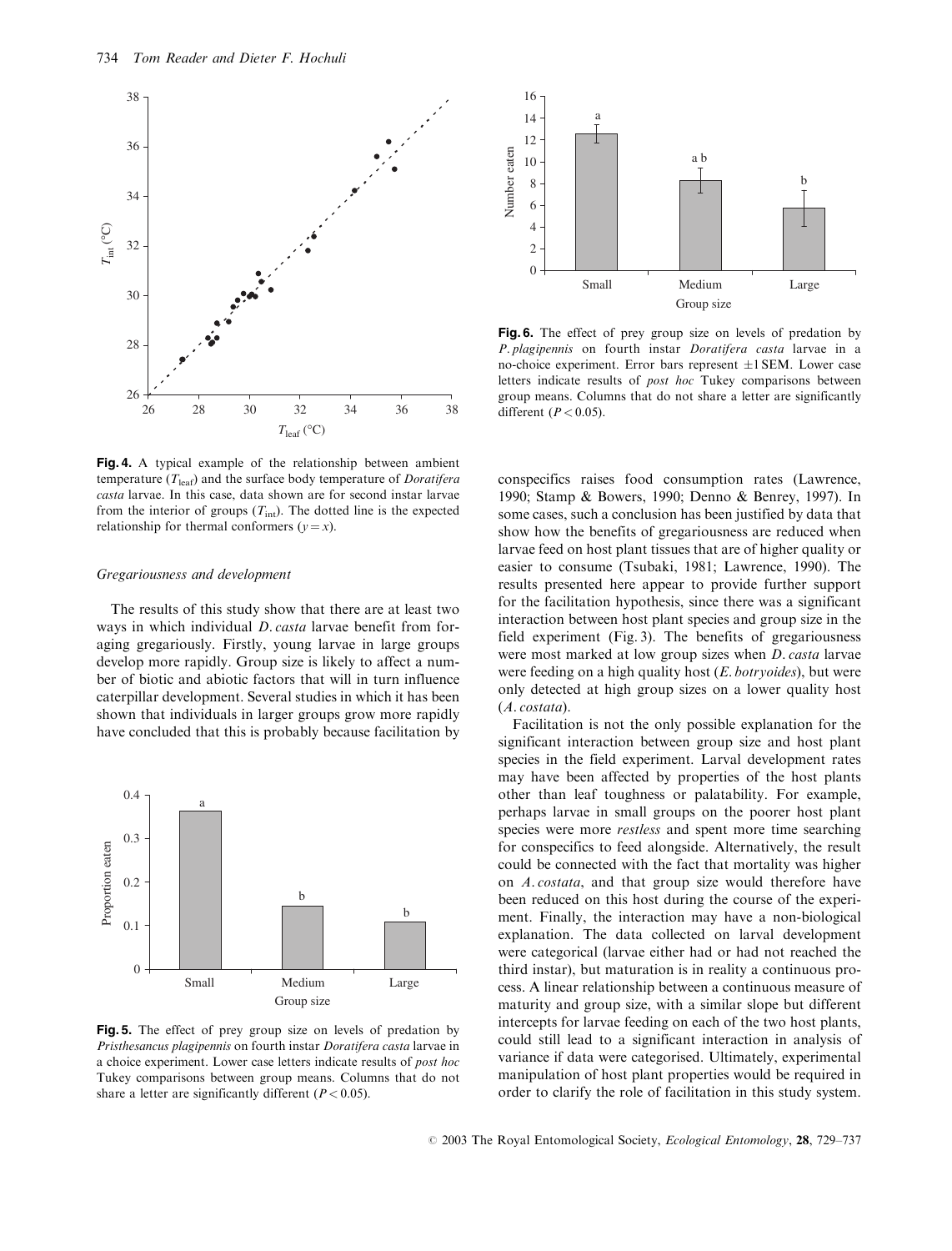

Fig. 4. A typical example of the relationship between ambient temperature  $(T_{\text{leaf}})$  and the surface body temperature of *Doratifera* casta larvae. In this case, data shown are for second instar larvae from the interior of groups  $(T_{int})$ . The dotted line is the expected relationship for thermal conformers  $(y = x)$ .

#### Gregariousness and development

The results of this study show that there are at least two ways in which individual *D. casta* larvae benefit from foraging gregariously. Firstly, young larvae in large groups develop more rapidly. Group size is likely to affect a number of biotic and abiotic factors that will in turn influence caterpillar development. Several studies in which it has been shown that individuals in larger groups grow more rapidly have concluded that this is probably because facilitation by



Fig. 5. The effect of prey group size on levels of predation by Pristhesancus plagipennis on fourth instar Doratifera casta larvae in a choice experiment. Lower case letters indicate results of post hoc Tukey comparisons between group means. Columns that do not share a letter are significantly different ( $P < 0.05$ ).



Fig. 6. The effect of prey group size on levels of predation by P. plagipennis on fourth instar Doratifera casta larvae in a no-choice experiment. Error bars represent  $\pm 1$  SEM. Lower case letters indicate results of post hoc Tukey comparisons between group means. Columns that do not share a letter are significantly different ( $P < 0.05$ ).

conspecifics raises food consumption rates (Lawrence, 1990; Stamp & Bowers, 1990; Denno & Benrey, 1997). In some cases, such a conclusion has been justified by data that show how the benefits of gregariousness are reduced when larvae feed on host plant tissues that are of higher quality or easier to consume (Tsubaki, 1981; Lawrence, 1990). The results presented here appear to provide further support for the facilitation hypothesis, since there was a significant interaction between host plant species and group size in the field experiment (Fig. 3). The benefits of gregariousness were most marked at low group sizes when D. casta larvae were feeding on a high quality host  $(E.$  botryoides), but were only detected at high group sizes on a lower quality host (A. costata).

Facilitation is not the only possible explanation for the significant interaction between group size and host plant species in the field experiment. Larval development rates may have been affected by properties of the host plants other than leaf toughness or palatability. For example, perhaps larvae in small groups on the poorer host plant species were more *restless* and spent more time searching for conspecifics to feed alongside. Alternatively, the result could be connected with the fact that mortality was higher on A. costata, and that group size would therefore have been reduced on this host during the course of the experiment. Finally, the interaction may have a non-biological explanation. The data collected on larval development were categorical (larvae either had or had not reached the third instar), but maturation is in reality a continuous process. A linear relationship between a continuous measure of maturity and group size, with a similar slope but different intercepts for larvae feeding on each of the two host plants, could still lead to a significant interaction in analysis of variance if data were categorised. Ultimately, experimental manipulation of host plant properties would be required in order to clarify the role of facilitation in this study system.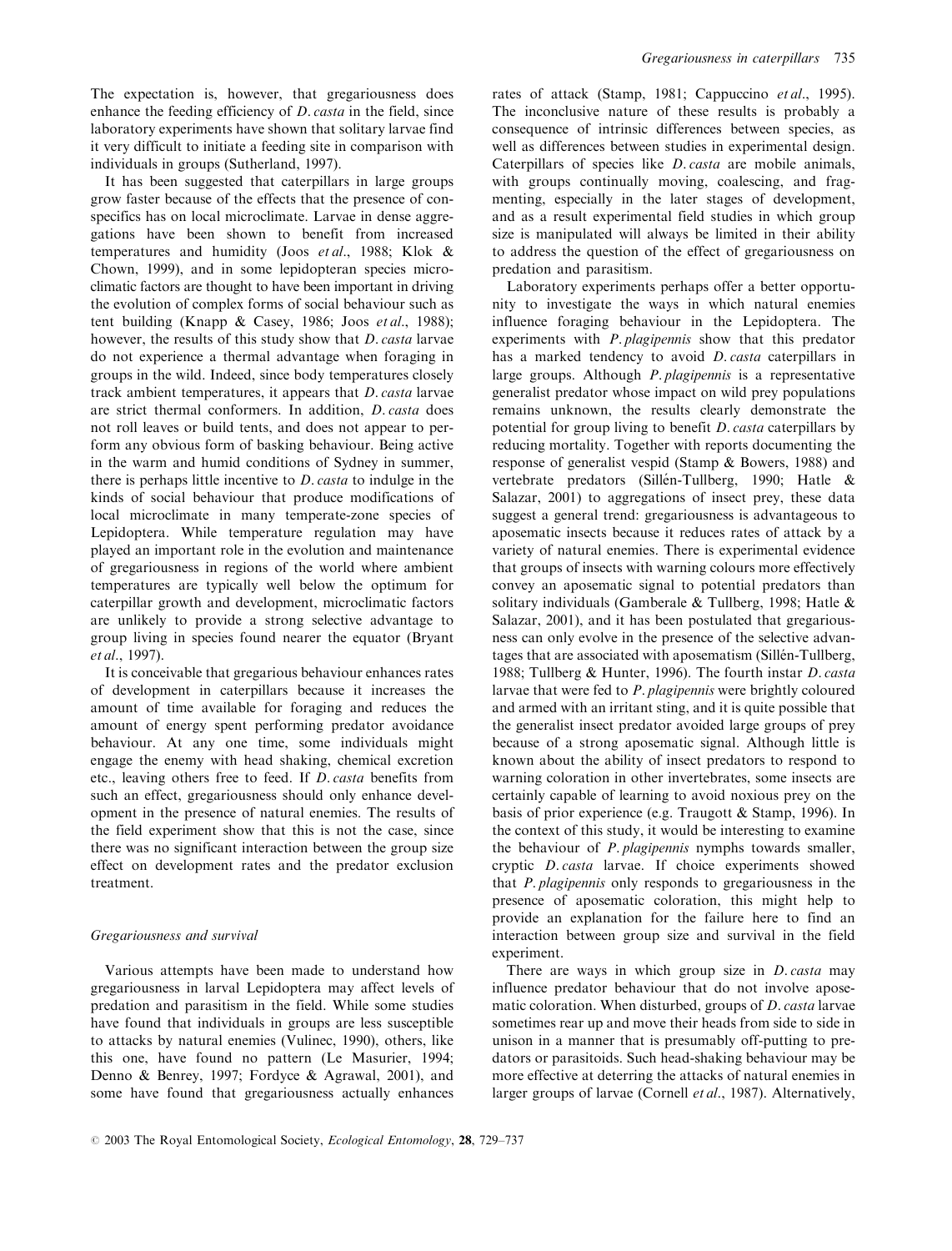The expectation is, however, that gregariousness does enhance the feeding efficiency of *D. casta* in the field, since laboratory experiments have shown that solitary larvae find it very difficult to initiate a feeding site in comparison with individuals in groups (Sutherland, 1997).

It has been suggested that caterpillars in large groups grow faster because of the effects that the presence of conspecifics has on local microclimate. Larvae in dense aggregations have been shown to benefit from increased temperatures and humidity (Joos et al., 1988; Klok & Chown, 1999), and in some lepidopteran species microclimatic factors are thought to have been important in driving the evolution of complex forms of social behaviour such as tent building (Knapp & Casey, 1986; Joos et al., 1988); however, the results of this study show that D. casta larvae do not experience a thermal advantage when foraging in groups in the wild. Indeed, since body temperatures closely track ambient temperatures, it appears that D. casta larvae are strict thermal conformers. In addition, D. casta does not roll leaves or build tents, and does not appear to perform any obvious form of basking behaviour. Being active in the warm and humid conditions of Sydney in summer, there is perhaps little incentive to D. casta to indulge in the kinds of social behaviour that produce modifications of local microclimate in many temperate-zone species of Lepidoptera. While temperature regulation may have played an important role in the evolution and maintenance of gregariousness in regions of the world where ambient temperatures are typically well below the optimum for caterpillar growth and development, microclimatic factors are unlikely to provide a strong selective advantage to group living in species found nearer the equator (Bryant et al., 1997).

It is conceivable that gregarious behaviour enhances rates of development in caterpillars because it increases the amount of time available for foraging and reduces the amount of energy spent performing predator avoidance behaviour. At any one time, some individuals might engage the enemy with head shaking, chemical excretion etc., leaving others free to feed. If D. casta benefits from such an effect, gregariousness should only enhance development in the presence of natural enemies. The results of the field experiment show that this is not the case, since there was no significant interaction between the group size effect on development rates and the predator exclusion treatment.

## Gregariousness and survival

Various attempts have been made to understand how gregariousness in larval Lepidoptera may affect levels of predation and parasitism in the field. While some studies have found that individuals in groups are less susceptible to attacks by natural enemies (Vulinec, 1990), others, like this one, have found no pattern (Le Masurier, 1994; Denno & Benrey, 1997; Fordyce & Agrawal, 2001), and some have found that gregariousness actually enhances

rates of attack (Stamp, 1981; Cappuccino et al., 1995). The inconclusive nature of these results is probably a consequence of intrinsic differences between species, as well as differences between studies in experimental design. Caterpillars of species like D. casta are mobile animals, with groups continually moving, coalescing, and fragmenting, especially in the later stages of development, and as a result experimental field studies in which group size is manipulated will always be limited in their ability to address the question of the effect of gregariousness on predation and parasitism.

Laboratory experiments perhaps offer a better opportunity to investigate the ways in which natural enemies influence foraging behaviour in the Lepidoptera. The experiments with P. plagipennis show that this predator has a marked tendency to avoid *D. casta* caterpillars in large groups. Although P. plagipennis is a representative generalist predator whose impact on wild prey populations remains unknown, the results clearly demonstrate the potential for group living to benefit D. casta caterpillars by reducing mortality. Together with reports documenting the response of generalist vespid (Stamp & Bowers, 1988) and vertebrate predators (Sillén-Tullberg, 1990; Hatle & Salazar, 2001) to aggregations of insect prey, these data suggest a general trend: gregariousness is advantageous to aposematic insects because it reduces rates of attack by a variety of natural enemies. There is experimental evidence that groups of insects with warning colours more effectively convey an aposematic signal to potential predators than solitary individuals (Gamberale & Tullberg, 1998; Hatle & Salazar, 2001), and it has been postulated that gregariousness can only evolve in the presence of the selective advantages that are associated with aposematism (Sillén-Tullberg, 1988; Tullberg & Hunter, 1996). The fourth instar D. casta larvae that were fed to P. plagipennis were brightly coloured and armed with an irritant sting, and it is quite possible that the generalist insect predator avoided large groups of prey because of a strong aposematic signal. Although little is known about the ability of insect predators to respond to warning coloration in other invertebrates, some insects are certainly capable of learning to avoid noxious prey on the basis of prior experience (e.g. Traugott & Stamp, 1996). In the context of this study, it would be interesting to examine the behaviour of P. plagipennis nymphs towards smaller, cryptic D. casta larvae. If choice experiments showed that P. plagipennis only responds to gregariousness in the presence of aposematic coloration, this might help to provide an explanation for the failure here to find an interaction between group size and survival in the field experiment.

There are ways in which group size in *D. casta* may influence predator behaviour that do not involve aposematic coloration. When disturbed, groups of D. casta larvae sometimes rear up and move their heads from side to side in unison in a manner that is presumably off-putting to predators or parasitoids. Such head-shaking behaviour may be more effective at deterring the attacks of natural enemies in larger groups of larvae (Cornell et al., 1987). Alternatively,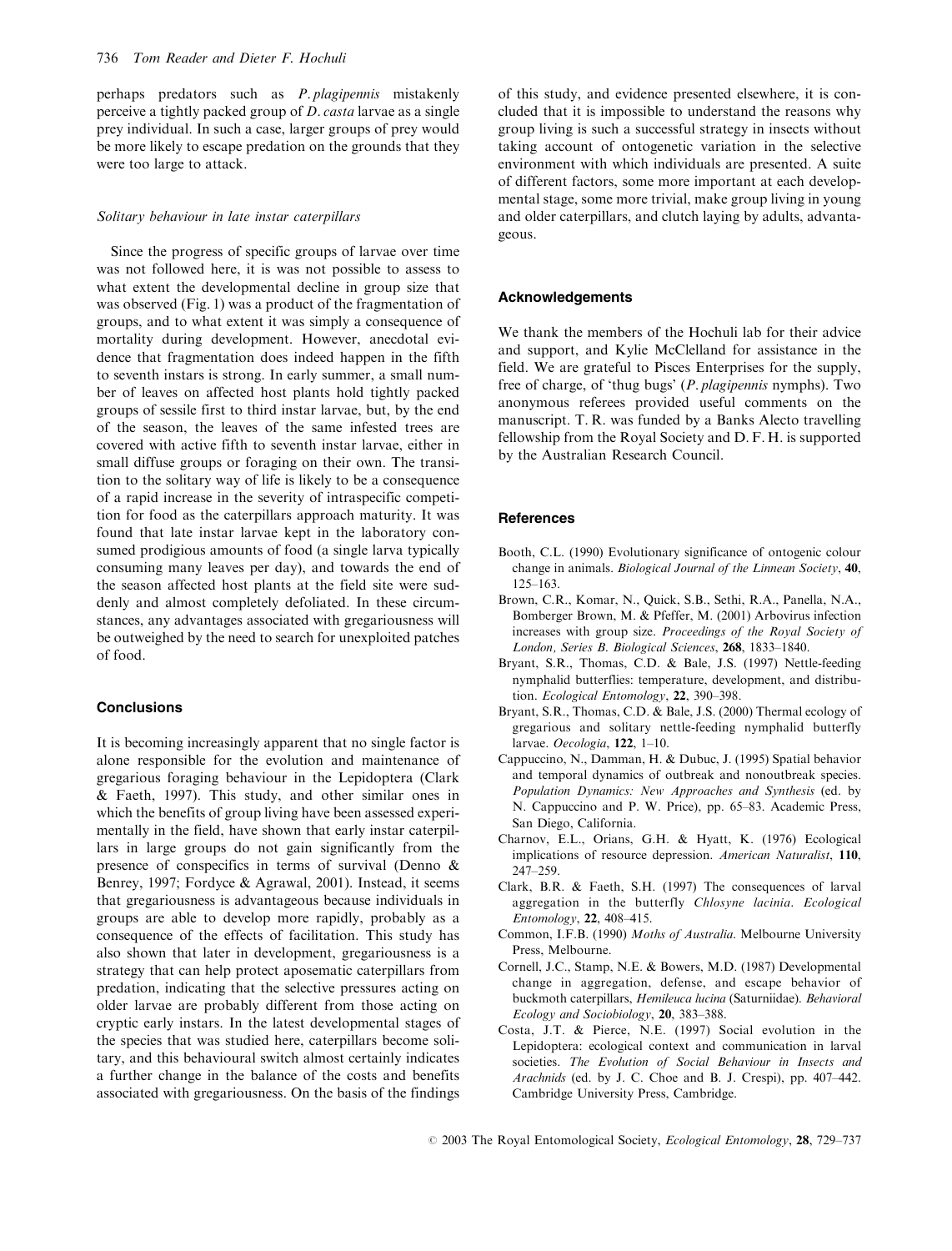perhaps predators such as P. plagipennis mistakenly perceive a tightly packed group of D. casta larvae as a single prey individual. In such a case, larger groups of prey would be more likely to escape predation on the grounds that they were too large to attack.

#### Solitary behaviour in late instar caterpillars

Since the progress of specific groups of larvae over time was not followed here, it is was not possible to assess to what extent the developmental decline in group size that was observed (Fig. 1) was a product of the fragmentation of groups, and to what extent it was simply a consequence of mortality during development. However, anecdotal evidence that fragmentation does indeed happen in the fifth to seventh instars is strong. In early summer, a small number of leaves on affected host plants hold tightly packed groups of sessile first to third instar larvae, but, by the end of the season, the leaves of the same infested trees are covered with active fifth to seventh instar larvae, either in small diffuse groups or foraging on their own. The transition to the solitary way of life is likely to be a consequence of a rapid increase in the severity of intraspecific competition for food as the caterpillars approach maturity. It was found that late instar larvae kept in the laboratory consumed prodigious amounts of food (a single larva typically consuming many leaves per day), and towards the end of the season affected host plants at the field site were suddenly and almost completely defoliated. In these circumstances, any advantages associated with gregariousness will be outweighed by the need to search for unexploited patches of food.

# **Conclusions**

It is becoming increasingly apparent that no single factor is alone responsible for the evolution and maintenance of gregarious foraging behaviour in the Lepidoptera (Clark & Faeth, 1997). This study, and other similar ones in which the benefits of group living have been assessed experimentally in the field, have shown that early instar caterpillars in large groups do not gain significantly from the presence of conspecifics in terms of survival (Denno & Benrey, 1997; Fordyce & Agrawal, 2001). Instead, it seems that gregariousness is advantageous because individuals in groups are able to develop more rapidly, probably as a consequence of the effects of facilitation. This study has also shown that later in development, gregariousness is a strategy that can help protect aposematic caterpillars from predation, indicating that the selective pressures acting on older larvae are probably different from those acting on cryptic early instars. In the latest developmental stages of the species that was studied here, caterpillars become solitary, and this behavioural switch almost certainly indicates a further change in the balance of the costs and benefits associated with gregariousness. On the basis of the findings

of this study, and evidence presented elsewhere, it is concluded that it is impossible to understand the reasons why group living is such a successful strategy in insects without taking account of ontogenetic variation in the selective environment with which individuals are presented. A suite of different factors, some more important at each developmental stage, some more trivial, make group living in young and older caterpillars, and clutch laying by adults, advantageous.

#### Acknowledgements

We thank the members of the Hochuli lab for their advice and support, and Kylie McClelland for assistance in the field. We are grateful to Pisces Enterprises for the supply, free of charge, of 'thug bugs' (P. plagipennis nymphs). Two anonymous referees provided useful comments on the manuscript. T. R. was funded by a Banks Alecto travelling fellowship from the Royal Society and D. F. H. is supported by the Australian Research Council.

# **References**

- Booth, C.L. (1990) Evolutionary significance of ontogenic colour change in animals. Biological Journal of the Linnean Society, 40, 125–163.
- Brown, C.R., Komar, N., Quick, S.B., Sethi, R.A., Panella, N.A., Bomberger Brown, M. & Pfeffer, M. (2001) Arbovirus infection increases with group size. Proceedings of the Royal Society of London, Series B. Biological Sciences, 268, 1833–1840.
- Bryant, S.R., Thomas, C.D. & Bale, J.S. (1997) Nettle-feeding nymphalid butterflies: temperature, development, and distribution. Ecological Entomology, 22, 390–398.
- Bryant, S.R., Thomas, C.D. & Bale, J.S. (2000) Thermal ecology of gregarious and solitary nettle-feeding nymphalid butterfly larvae. Oecologia, 122, 1-10.
- Cappuccino, N., Damman, H. & Dubuc, J. (1995) Spatial behavior and temporal dynamics of outbreak and nonoutbreak species. Population Dynamics: New Approaches and Synthesis (ed. by N. Cappuccino and P. W. Price), pp. 65–83. Academic Press, San Diego, California.
- Charnov, E.L., Orians, G.H. & Hyatt, K. (1976) Ecological implications of resource depression. American Naturalist, 110, 247–259.
- Clark, B.R. & Faeth, S.H. (1997) The consequences of larval aggregation in the butterfly Chlosyne lacinia. Ecological Entomology, 22, 408–415.
- Common, I.F.B. (1990) Moths of Australia. Melbourne University Press, Melbourne.
- Cornell, J.C., Stamp, N.E. & Bowers, M.D. (1987) Developmental change in aggregation, defense, and escape behavior of buckmoth caterpillars, Hemileuca lucina (Saturniidae). Behavioral Ecology and Sociobiology, 20, 383–388.
- Costa, J.T. & Pierce, N.E. (1997) Social evolution in the Lepidoptera: ecological context and communication in larval societies. The Evolution of Social Behaviour in Insects and Arachnids (ed. by J. C. Choe and B. J. Crespi), pp. 407–442. Cambridge University Press, Cambridge.